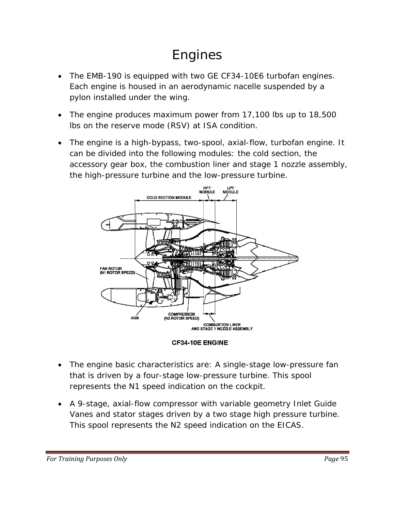# Engines

- The EMB-190 is equipped with two GE CF34-10E6 turbofan engines. Each engine is housed in an aerodynamic nacelle suspended by a pylon installed under the wing.
- The engine produces maximum power from 17,100 lbs up to 18,500 lbs on the reserve mode (RSV) at ISA condition.
- The engine is a high-bypass, two-spool, axial-flow, turbofan engine. It can be divided into the following modules: the cold section, the accessory gear box, the combustion liner and stage 1 nozzle assembly, the high-pressure turbine and the low-pressure turbine.





- The engine basic characteristics are: A single-stage low-pressure fan that is driven by a four-stage low-pressure turbine. This spool represents the N1 speed indication on the cockpit.
- A 9-stage, axial-flow compressor with variable geometry Inlet Guide Vanes and stator stages driven by a two stage high pressure turbine. This spool represents the N2 speed indication on the EICAS.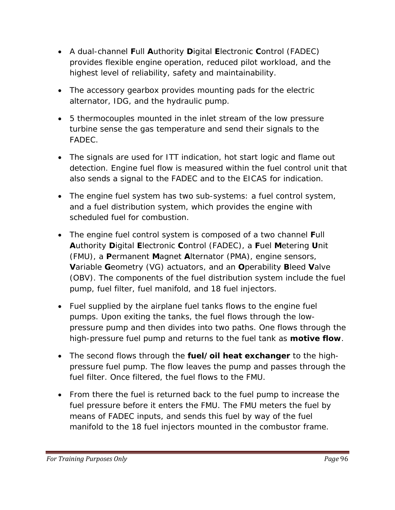- A dual-channel **F**ull **A**uthority **D**igital **E**lectronic **C**ontrol (FADEC) provides flexible engine operation, reduced pilot workload, and the highest level of reliability, safety and maintainability.
- The accessory gearbox provides mounting pads for the electric alternator, IDG, and the hydraulic pump.
- 5 thermocouples mounted in the inlet stream of the low pressure turbine sense the gas temperature and send their signals to the FADEC.
- The signals are used for ITT indication, hot start logic and flame out detection. Engine fuel flow is measured within the fuel control unit that also sends a signal to the FADEC and to the EICAS for indication.
- The engine fuel system has two sub-systems: a fuel control system, and a fuel distribution system, which provides the engine with scheduled fuel for combustion.
- The engine fuel control system is composed of a two channel **F**ull **A**uthority **D**igital **E**lectronic **C**ontrol (FADEC), a **F**uel **M**etering **U**nit (FMU), a **P**ermanent **M**agnet **A**lternator (PMA), engine sensors, **V**ariable **G**eometry (VG) actuators, and an **O**perability **B**leed **V**alve (OBV). The components of the fuel distribution system include the fuel pump, fuel filter, fuel manifold, and 18 fuel injectors.
- Fuel supplied by the airplane fuel tanks flows to the engine fuel pumps. Upon exiting the tanks, the fuel flows through the lowpressure pump and then divides into two paths. One flows through the high-pressure fuel pump and returns to the fuel tank as *motive flow*.
- The second flows through the *fuel/oil heat exchanger* to the highpressure fuel pump. The flow leaves the pump and passes through the fuel filter. Once filtered, the fuel flows to the FMU.
- From there the fuel is returned back to the fuel pump to increase the fuel pressure before it enters the FMU. The FMU meters the fuel by means of FADEC inputs, and sends this fuel by way of the fuel manifold to the 18 fuel injectors mounted in the combustor frame.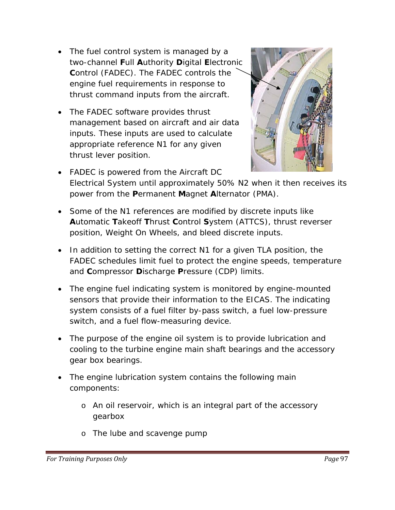- The fuel control system is managed by a two-channel **F**ull **A**uthority **D**igital **E**lectronic **C**ontrol (FADEC). The FADEC controls the engine fuel requirements in response to thrust command inputs from the aircraft.
- The FADEC software provides thrust management based on aircraft and air data inputs. These inputs are used to calculate appropriate reference N1 for any given thrust lever position.



- FADEC is powered from the Aircraft DC Electrical System until approximately 50% N2 when it then receives its power from the **P**ermanent **M**agnet **A**lternator (PMA).
- Some of the N1 references are modified by discrete inputs like **A**utomatic **T**akeoff **T**hrust **C**ontrol **S**ystem (ATTCS), thrust reverser position, Weight On Wheels, and bleed discrete inputs.
- In addition to setting the correct N1 for a given TLA position, the FADEC schedules limit fuel to protect the engine speeds, temperature and **C**ompressor **D**ischarge **P**ressure (CDP) limits.
- The engine fuel indicating system is monitored by engine-mounted sensors that provide their information to the EICAS. The indicating system consists of a fuel filter by-pass switch, a fuel low-pressure switch, and a fuel flow-measuring device.
- The purpose of the engine oil system is to provide lubrication and cooling to the turbine engine main shaft bearings and the accessory gear box bearings.
- The engine lubrication system contains the following main components:
	- o An oil reservoir, which is an integral part of the accessory gearbox
	- o The lube and scavenge pump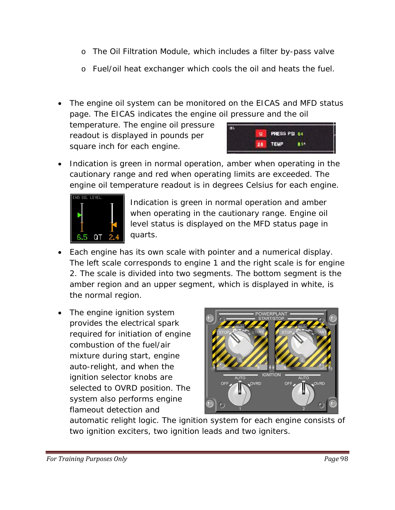- o The Oil Filtration Module, which includes a filter by-pass valve
- o Fuel/oil heat exchanger which cools the oil and heats the fuel.
- The engine oil system can be monitored on the EICAS and MFD status page. The EICAS indicates the engine oil pressure and the oil

temperature. The engine oil pressure readout is displayed in pounds per square inch for each engine.



• Indication is green in normal operation, amber when operating in the cautionary range and red when operating limits are exceeded. The engine oil temperature readout is in degrees Celsius for each engine.



Indication is green in normal operation and amber when operating in the cautionary range. Engine oil level status is displayed on the MFD status page in quarts.

- Each engine has its own scale with pointer and a numerical display. The left scale corresponds to engine 1 and the right scale is for en gine 2. The scale is divided into two segments. The bottom segment is the amber region and an upper segment, whi ch is displayed in white, is the normal region.
- system also performs engine • The engine ignition system provides the electrical spark required for initiation of engine combustion of the fuel/air mixture during start, engine auto-relight, and when the ignition selector knobs are selected to OVRD position. The flameout detection and



automatic relight logic. The ignition system for each engine consists of two ignition exciters, two ignition leads and two igniters.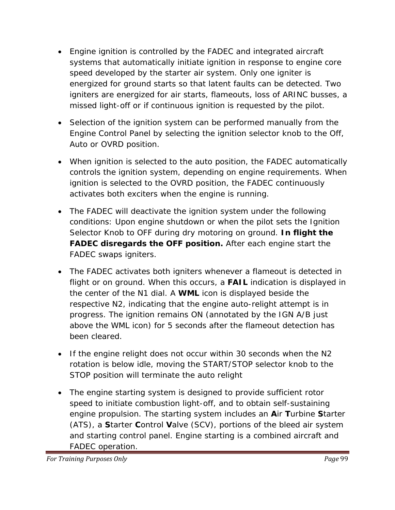- Engine ignition is controlled by the FADEC and integrated aircraft systems that automatically initiate ignition in response to engine core speed developed by the starter air system. Only one igniter is energized for ground starts so that latent faults can be detected. Two igniters are energized for air starts, flameouts, loss of ARINC busses, a missed light-off or if continuous ignition is requested by the pilot.
- Selection of the ignition system can be performed manually from the Engine Control Panel by selecting the ignition selector knob to the Off, Auto or OVRD position.
- When ignition is selected to the auto position, the FADEC automatically controls the ignition system, depending on engine requirements. When ignition is selected to the OVRD position, the FADEC continuously activates both exciters when the engine is running.
- conditions: Upon engine shutdown or when the pilot sets the Ignition • The FADEC will deactivate the ignition system under the following Selector Knob to OFF during dry motoring on ground. *In flight the FADEC disregards the OFF position.* After each engine start the FADEC swaps igniters.
- The FADEC activates both igniters whenever a flameout is detected in flight or on ground. When this occurs, a **FAIL** indication is displayed in respective N2, indicating that the engine auto-relight attempt is in progress. The ignition remains ON (annotated by the IGN A/B just the center of the N1 dial. A *WML* icon is displayed beside the above the WML icon) for 5 seconds after the flameout detection has been cleared.
- If the engine relight does not occur within 30 seconds when the N2 rotation is below idle, moving the START/STOP selector knob to the STOP position will terminate the auto relight
- engine propulsion. The starting system includes an Air Turbine Starter (ATS), a **S**tarter **C**ontrol **V**alve (SCV), portions of the bleed air system • The engine starting system is designed to provide sufficient rotor speed to initiate combustion light-off, and to obtain self-sustaining and starting control panel. Engine starting is a combined aircraft and FADEC operation.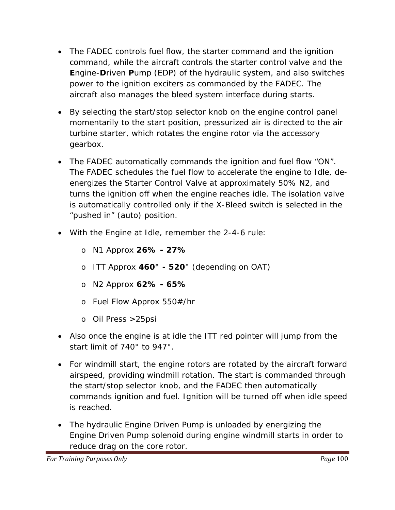- command, while the aircraft controls the starter control valve and the **Engine-Driven Pump (EDP) of the hydraulic system, and also switches** • The FADEC controls fuel flow, the starter command and the ignition power to the ignition exciters as commanded by the FADEC. The aircraft also manages the bleed system interface during starts.
- By selecting the start/stop selector knob on the engine control panel momentarily to the start position, pressurized air is directed to the air turbine starter, which rotates the engine rotor via the accessory gearbox.
- . The FADEC automatically commands the ignition and fuel flow "ON" turns the ignition off when the engine reaches idle. The isolation valve is automatically controlled only if the X-Bleed switch is selected in the The FADEC schedules the fuel flow to accelerate the engine to Idle, deenergizes the Starter Control Valve at approximately 50% N2, and "pushed in" (auto) position.
- With the Engine at Idle, remember the 2-4-6 rule:
	- o N1 Approx **26% 27%**
	- o ITT Approx 460° 520° (depending on OAT)
	- o N2 Approx **62% 65%**
	- o Fuel Flow Approx 550#/hr
	- o Oil Press >25psi
- Also once the engine is at idle the ITT red pointer will jump from the start limit of 740° to 947°.
- For windmill start, the engine rotors are rotated by the aircraft forward the start/stop selector knob, and the FADEC then automatically commands ignition and fuel. Ignition will be turned off when idle speed airspeed, providing windmill rotation. The start is commanded through is reached.
- The hydraulic Engine Driven Pump is unloaded by energizing the Engine Driven Pump solenoid during engine windmill starts in order to reduce drag on the core rotor.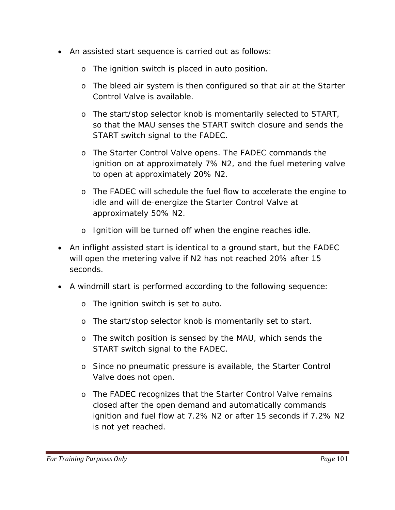- An assisted start sequence is carried out as follows:
	- o The ignition switch is placed in auto position.
	- o The bleed air system is then configured so that air at the Starter Control Valve is available.
	- o The start/stop selector knob is momentarily selected to START, so that the MAU senses the START switch closure and sends the START switch signal to the FADEC.
	- ignition on at approximately 7% N2, and the fuel metering valve o The Starter Control Valve opens. The FADEC commands the to open at approximately 20% N2.
	- idle and will de-energize the Starter Control Valve at o The FADEC will schedule the fuel flow to accelerate the engine to approximately 50% N2.
	- o Ignition will be turned off when the engine reaches idle.
- will open the metering valve if N2 has not reached 20% after 15 • An inflight assisted start is identical to a ground start, but the FADEC seconds.
- A windmill start is performed according to the following sequence:
	- o The ignition switch is set to auto.
	- o The start/stop selector knob is momentarily set to start.
	- o The switch position is sensed by the MAU, which sends the START switch signal to the FADEC.
	- o Since no pneumatic pressure is available, the Starter Control Valve does not open.
	- ignition and fuel flow at 7.2% N2 or after 15 seconds if 7.2% N2 o The FADEC recognizes that the Starter Control Valve remains closed after the open demand and automatically commands is not yet reached.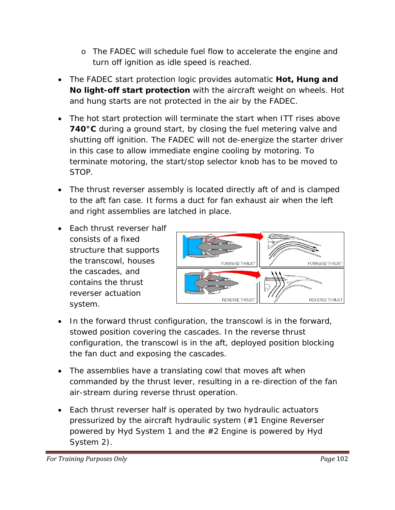- o The FADEC will schedule fuel flow to accelerate the engine and turn off ignition as idle speed is reached.
- The FADEC start protection logic provides automatic *Hot, Hung a nd No light-off start protection* with the aircraft weight on wheels. Hot and hung starts are not protected in the air by the FADEC.
- in this case to allow immediate engine cooling by motoring. To • The hot start protection will terminate the start when ITT rises above *740°C* during a ground start, by closing the fuel metering valve and shutting off ignition. The FADEC will not de-energize the starter driver terminate motoring, the start/stop selector knob has to be moved to STOP.
- to the aft fan case. It forms a duct for fan exhaust air when the left and right assemblies are latched in place. • The thrust reverser assembly is located directly aft of and is clamped
- Each thrust reverser half structure that supports the transcowl, houses consists of a fixed the cascades, and contains the thrust reverser actuation system.



- stowed position covering the cascades. In the reverse thrust configuration, the transcowl is in the aft, deployed position blocking • In the forward thrust configuration, the transcowl is in the forward, the fan duct and exposing the cascades.
- The assemblies have a translating cowl that moves aft when commanded by the thrust lever, resulting in a re-direction of the fan air-stream during reverse thrust operation.
- pressurized by the aircraft hydraulic system (#1 Engine Reverser • Each thrust reverser half is operated by two hydraulic actuators powered by Hyd System 1 and the #2 Engine is powered by Hyd System 2).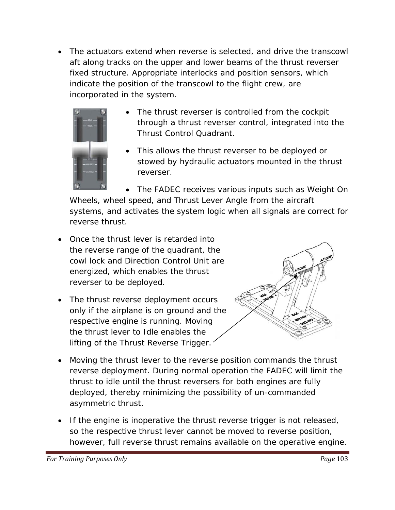• The actuators extend when reverse is selected, and drive the transcowl aft along tracks on the upper and lower beams of the thrust reverser fixed structure. Appropriate interlocks and position sensors, which indicate the position of the tr anscowl to the flight crew, are incorporat ed in the system.



- The thrust reverser is controlled from the cockpit through a thrust reverser control, integrated into the Thrust Control Quadrant.
- This allows the thrust reverser to be deployed or stowed by hydraulic actuators mounted in the thrust reverser.

Wheels, wheel speed, and Thrust Lever Angle from the aircraft systems, and activates the system logic when all signals are correct for • The FADEC receives various inputs such as Weight On reverse thrust.

- the reverse range of the quadrant, the cowl lock and Direction Control Unit are energized, which enables the thrust • Once the thrust lever is retarded into reverser to be deployed.
- The thrust reverse deployment occurs only if the airplane is on ground and the respective engine is running. Moving the thrust lever to Idle enables the lifting of the Thrust Reverse Trigger.



- Moving the thrust lever to the reverse position commands the thrust reverse deployment. During normal operation the FADEC will limit the thrust to idle until the thrust reversers for both engines are fully deployed, thereby minimizing the possibility of un-commanded asymmetric thrust.
- so the respective thrust lever cannot be moved to reverse position, however, full reverse thrust remains available on the operative engine. • If the engine is inoperative the thrust reverse trigger is not released,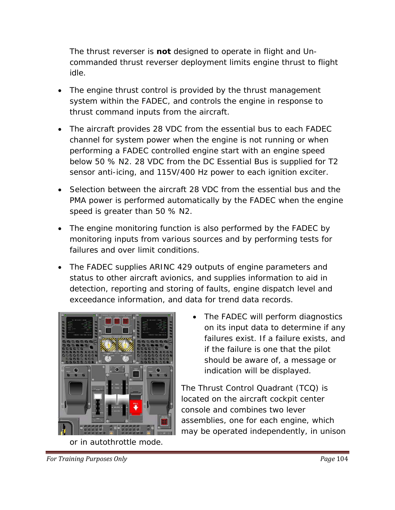The thrust reverser is *not* designed to operate in flight and Uncomm anded thrust reverser deployment limits engine thrust to flight idle.

- system within the FADEC, and controls the engine in response to • The engine thrust control is provided by the thrust management thrust command inputs from the aircraft.
- The aircraft provides 28 VDC from the essential bus to each FADEC channel for system power when the engine is not running or when performing a FADEC controlled engine start with an engine speed below 50 % N2. 28 VDC from the DC Essential Bus is supplied for T2 sensor anti-icing, and 115V/400 Hz power to each ignition exciter.
- PMA power is performed automatically by the FADEC when the engine speed is greater than 50 % N2. • Selection between the aircraft 28 VDC from the essential bus and the
- monitoring inputs from various sources and by performing tests for • The engine monitoring function is also performed by the FADEC by failures and over limit conditions.
- detection, reporting and storing of faults, engine dispatch level and exceedance information, and data for trend data records. • The FADEC supplies ARINC 429 outputs of engine parameters and status to other aircraft avionics, and supplies information to aid in



or in autothrottle mode.

failures exist. If a failure exists, and should be aware of, a message or The FADEC will perform diagnostics on its input data to determine if any if the failure is one that the pilot indication will be displayed.

located on the aircraft cockpit center may be operated independently, in unison The Thrust Control Quadrant (TCQ) is console and combines two lever assemblies, one for each engine, which

*For Training Purposes Only Page* 104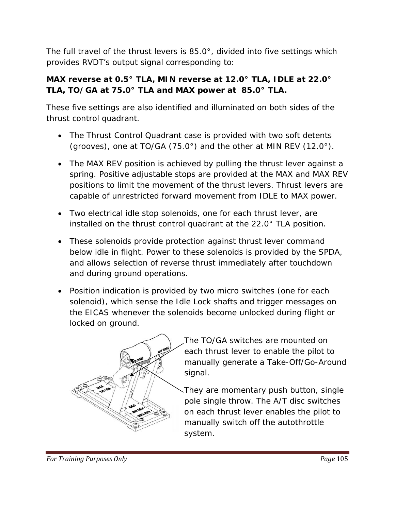The full travel of the thrust levers is 85.0°, divided into five settings which provides RVDT's output signal corresponding to:

# *MAX reverse at 0.5° TLA, MIN reverse at 12.0° TLA, IDLE at 22.0° TLA, TO/GA at 75.0° TLA and MAX power at 85.0° TLA.*

These five settings are also identified and illuminated on both sides of the thrust control quadrant.

- The Thrust Control Quadrant case is provided with two soft detents (grooves), one at TO/GA (75.0°) and the other at MIN REV (12.0°).
- The MAX REV position is achieved by pulling the thrust lever against a spring. Positive adjustable stops are provided at the MAX and MAX REV positions to limit the movement of the thrust levers. Thrust levers are capable of unrestricted forward movement from IDLE to MAX power.
- Two electrical idle stop solenoids, one for each thrust lever, are installed on the thrust control quadrant at the 22.0° TLA position.
- These solenoids provide protection against thrust lever command below idle in flight. Power to these solenoids is provided by the SPDA, and allows selection of reverse thrust immediately after touchdown and during ground operations.
- Position indication is provided by two micro switches (one for each solenoid), which sense the Idle Lock shafts and trigger messages on the EICAS whenever the solenoids become unlocked during flight or locked on ground.



- The TO/GA switches are mounted on each thrust lever to enable the pilot to manually generate a Take-Off/Go-Around signal.
- They are momentary push button, single pole single throw. The A/T disc switches on each thrust lever enables the pilot to manually switch off the autothrottle system.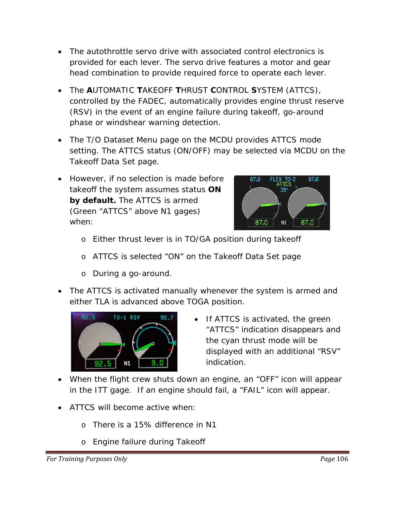- The autothrottle servo drive with associated control electronics is provided for each lever. The servo drive features a motor and gear head combination to provide required force to operate each lever.
- The **A**UTOMATIC **T**AKEOFF **T**HRUST **C**ONTROL **S**YSTEM (ATTCS), controlled by the FADEC, automatically provides engine thrust reserve (RSV) in the event of an engine failure during takeoff, go-around phase or windshear warning detection.
- The T/O Dataset Menu page on the MCDU provides ATTCS mode setting. The ATTCS status (ON/OFF) may be selected via MCDU on the Takeoff Data Set page.
- However, if no selection is made before takeoff the system assumes status *ON by default.* The ATTCS is armed (Green "ATTCS" above N1 gages) when:



- o Either thrust lever is in TO/GA position during takeoff
- o ATTCS is selected "ON" on the Takeoff Data Set page
- o During a go-around.
- The ATTCS is activated manually whenever the system is armed and either TLA is advanced above TOGA position.



- If ATTCS is activated, the green "ATTCS" indication disappears and the cyan thrust mode will be displayed with an additional "RSV" indication.
- When the flight crew shuts down an engine, an "OFF" icon will appear in the ITT gage. If an engine should fail, a "FAIL" icon will appear.
- ATTCS will become active when:
	- o There is a 15% difference in N1
	- o Engine failure during Takeoff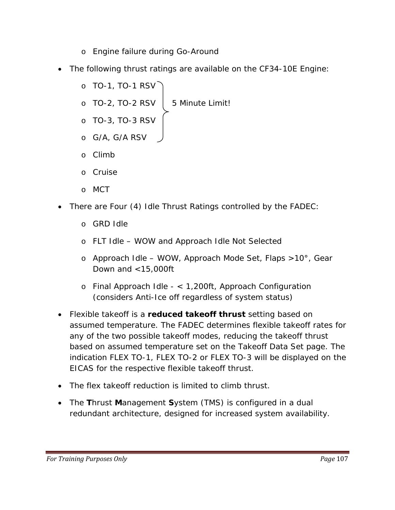- o Engine failure during Go-Around
- The following thrust ratings are available on the CF34-10E Engine:
	- o TO-1, TO-1 RSV
	- $\circ$  TO-2, TO-2 RSV  $\vert$  5 Minute Limit!
	- o TO-3, TO-3 RSV
	- o G/A, G/A RSV
	- o Climb
	- o Cruise
	- o MCT
- There are Four (4) Idle Thrust Ratings controlled by the FADEC:
	- o GRD Idle
	- o FLT Idle WOW and Approach Idle Not Selected
	- o Approach Idle WOW, Approach Mode Set, Flaps >10°, Gear Down and <15,000ft
	- o Final Approach Idle < 1,200ft, Approach Configuration (considers Anti-Ice off regardless of system status)
- Flexible takeoff is a *reduced takeoff thrust* setting based on assumed temperature. The FADEC determines flexible takeoff rates for any of the two possible takeoff modes, reducing the takeoff thrust based on assumed temperature set on the Takeoff Data Set page. The indication FLEX TO-1, FLEX TO-2 or FLEX TO-3 will be displayed on the EICAS for the respective flexible takeoff thrust.
- The flex takeoff reduction is limited to climb thrust.
- The **T**hrust **M**anagement **S**ystem (TMS) is configured in a dual redundant architecture, designed for increased system availability.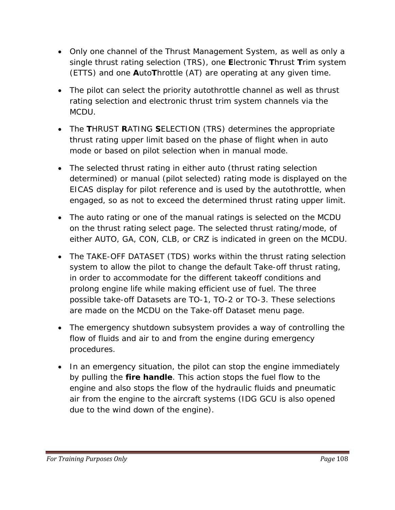- Only one channel of the Thrust Management System, as well as only a single thrust rating selection (TRS), one **E**lectronic **T**hrust **T**rim system (ETTS) and one **A**uto**T**hrottle (AT) are operating at any given time.
- The pilot can select the priority autothrottle channel as well as thrust rating selection and electronic thrust trim system channels via the MCDU.
- The **T**HRUST **R**ATING **S**ELECTION (TRS) determines the appropriate thrust rating upper limit based on the phase of flight when in auto mode or based on pilot selection when in manual mode.
- The selected thrust rating in either auto (thrust rating selection determined) or manual (pilot selected) rating mode is displayed on the EICAS display for pilot reference and is used by the autothrottle, when engaged, so as not to exceed the determined thrust rating upper limit.
- The auto rating or one of the manual ratings is selected on the MCDU on the thrust rating select page. The selected thrust rating/mode, of either AUTO, GA, CON, CLB, or CRZ is indicated in green on the MCDU.
- The TAKE-OFF DATASET (TDS) works within the thrust rating selection system to allow the pilot to change the default Take-off thrust rating, in order to accommodate for the different takeoff conditions and prolong engine life while making efficient use of fuel. The three possible take-off Datasets are TO-1, TO-2 or TO-3. These selections are made on the MCDU on the Take-off Dataset menu page.
- The emergency shutdown subsystem provides a way of controlling the flow of fluids and air to and from the engine during emergency procedures.
- In an emergency situation, the pilot can stop the engine immediately by pulling the *fire handle*. This action stops the fuel flow to the engine and also stops the flow of the hydraulic fluids and pneumatic air from the engine to the aircraft systems (IDG GCU is also opened due to the wind down of the engine).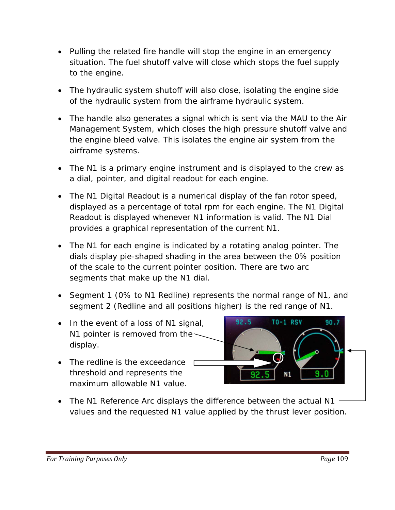- Pulling the related fire handle will stop the engine in an emergency situation. The fuel shutoff valve will close which stops the fuel supply to the engine.
- The hydraulic system shutoff will also close, isolating the engine side of the hydraulic system from the airframe hydraulic system.
- The handle also generates a signal which is sent via the MAU to the Air Management System, which closes the high pressure shutoff valve and the engine bleed valve. This isolates the engine air system from the airframe systems.
- The N1 is a primary engine instrument and is displayed to the crew as a dial, pointer, and digital readout for each engine.
- The N1 Digital Readout is a numerical display of the fan rotor speed, displayed as a percentage of total rpm for each engine. The N1 Digital Readout is displayed whenever N1 information is valid. The N1 Dial provides a graphical representation of the current N1.
- The N1 for each engine is indicated by a rotating analog pointer. The dials display pie-shaped shading in the area between the 0% position of the scale to the current pointer position. There are two arc segments that make up the N1 dial.
- Segment 1 (0% to N1 Redline) represents the normal range of N1, and segment 2 (Redline and all positions higher) is the red range of N1.
- In the event of a loss of N1 signal, N1 pointer is removed from thedisplay.
- The redline is the exceedance threshold and represents the maximum allowable N1 value.



values and the requested N1 value applied by the thrust lever position. • The N1 Reference Arc displays the difference between the actual N1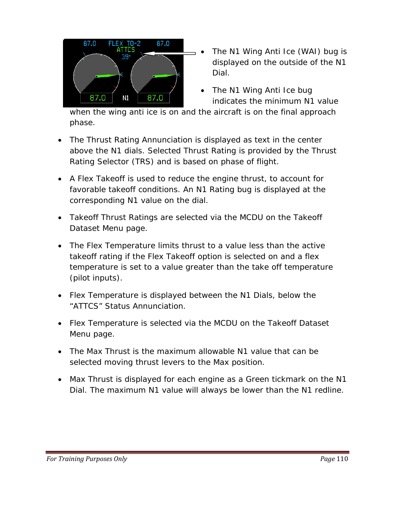

- The N1 Wing Anti Ice (WAI) bug is displayed on the outside of the N1 Dial.
- The N1 Wing Anti Ice bug indicates the minimum N1 value

when the wing anti ice is on and the aircraft is on the final approach phase.

- above the N1 dials. Selected Thrust Rating is provided by the Thrust Rating Selector (TRS) and is based on phase of flight. • The Thrust Rating Annunciation is displayed as text in the center
- favorable takeoff conditions. An N1 Rating bug is displayed at the • A Flex Takeoff is used to reduce the engine thrust, to account for corresponding N1 value on the dial.
- Takeoff Thrust Ratings are selected via the MCDU on the Takeoff Dataset Menu page.
- The Flex Temperature limits thrust to a value less than the active temperature is set to a value greater than the take off temperature takeoff rating if the Flex Takeoff option is selected on and a flex (pilot inputs).
- Flex Temperature is displayed between the N1 Dials, below the "ATTCS" Status Annunciation.
- Flex Temperature is selected via the MCDU on the Takeoff Dataset Menu page.
- selected moving thrust levers to the Max position. • The Max Thrust is the maximum allowable N1 value that can be
- Max Thrust is displayed for each engine as a Green tickmark on the N1 Dial. The maximum N1 value will always be lower than the N1 redline.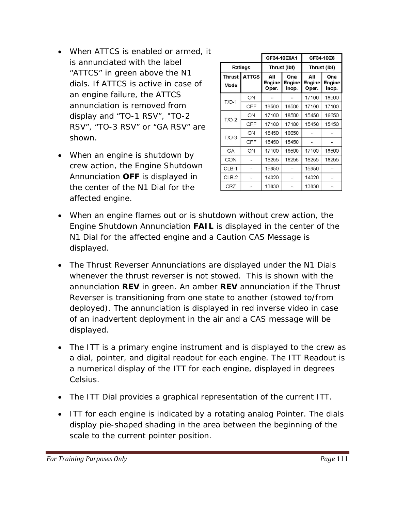- When ATTCS is enabled or armed, it is annunciated with the label "ATTCS" in green above the N1 dials. If ATTCS is active in case of an engine failure, the ATTCS annunciation is removed from display and "TO-1 RSV", "TO-2 RSV", "TO-3 RSV" or "GA RSV" are shown.
- When an engine is shutdown by crew action, the Engine Shutdown Annunciation *OFF* is displayed in the center of the N1 Dial for the affected engine.

|                       |              | CF34-10E6A1            |                        | CF34-10E6              |                        |  |  |
|-----------------------|--------------|------------------------|------------------------|------------------------|------------------------|--|--|
| Ratings               |              | Thrust (lbf)           |                        | Thrust (lbf)           |                        |  |  |
| <b>Thrust</b><br>Mode | <b>ATTCS</b> | Αll<br>Engine<br>Oper. | One<br>Engine<br>Inop. | All<br>Engine<br>Oper. | One<br>Engine<br>Inop. |  |  |
| $T/O-1$               | ON           |                        |                        | 17100                  | 18500                  |  |  |
|                       | OFF          | 18500                  | 18500                  | 17100                  | 17100                  |  |  |
| $T/O-2$               | ON           | 17100                  | 18500                  | 15450                  | 16650                  |  |  |
|                       | OFF          | 17100                  | 17100                  | 15450                  | 15450                  |  |  |
| $T/O-3$               | ON           | 15450                  | 16650                  |                        |                        |  |  |
|                       | OFF          | 15450                  | 15450                  |                        |                        |  |  |
| GA                    | ON           | 17100                  | 18500                  | 17100                  | 18500                  |  |  |
| CON                   |              | 16255                  | 16255                  | 16255                  | 16255                  |  |  |
| CLB-1                 |              | 15950                  |                        | 15950                  |                        |  |  |
| CLB-2                 | ٠            | 14020                  |                        | 14020                  | ۰                      |  |  |
| <b>CRZ</b>            |              | 13830                  |                        | 13830                  |                        |  |  |

- Engine Shutdown Annunciation **FAIL** is displayed in the center of the • When an engine flames out or is shutdown without crew action, the N1 Dial for the affected engine and a Caution CAS Message is displayed.
- whenever the thrust reverser is not stowed. This is shown with the Reverser is transitioning from one state to another (stowed to/from • The Thrust Reverser Annunciations are displayed under the N1 Dials annunciation *REV* in green. An amber *REV* annunciation if the Thrust deployed). The annunciation is displayed in red inverse video in case of an inadvertent deployment in the air and a CAS message will be displayed.
- The ITT is a primary engine instrument and is displayed to the crew as a dial, pointer, and digital readout for each engine. The ITT Readout is a numerical display of the ITT for each engine, displayed in degrees Celsius.
- The ITT Dial provides a graphical representation of the current ITT.
- ITT for each engine is indicated by a rotating analog Pointer. The dials display pie-shaped shading in the area between the beginning of the scale to the current pointer position.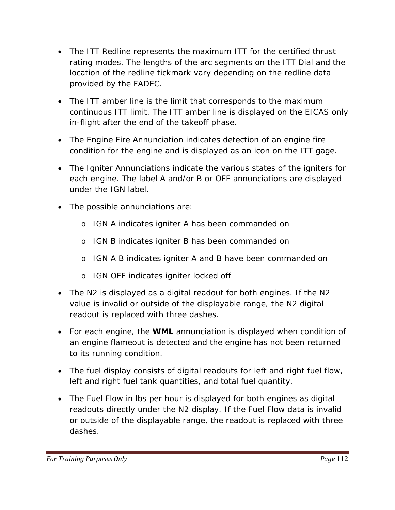- location of the redline tickmark vary depending on the redline data • The ITT Redline represents the maximum ITT for the certified thrust rating modes. The lengths of the arc segments on the ITT Dial and the provided by the FADEC.
- The ITT amber line is the limit that corresponds to the maximum continuous ITT limit. The ITT amber line is displayed on the EICAS only in-flight after the end of the takeoff phase.
- condition for the engine and is displayed as an icon on the ITT gage. • The Engine Fire Annunciation indicates detection of an engine fire
- The Igniter Annunciations indicate the various states of the igniters for each engine. The label A and/or B or OFF annunciations are displayed under the IGN label.
- The possible annunciations are:
	- o IGN A indicates igniter A has been commanded on
	- o IGN B indicates igniter B has been commanded on
	- o IGN A B indicates igniter A and B have been commanded on
	- o IGN OFF indicates igniter locked off
- readout is replaced with three dashes. • The N2 is displayed as a digital readout for both engines. If the N2 value is invalid or outside of the displayable range, the N2 digital
- For each engine, the **WML** annunciation is displayed when condition of to its running condition. an engine flameout is detected and the engine has not been returned
- The fuel display consists of digital readouts for left and right fuel flow, left and right fuel tank quantities, and total fuel quantity.
- readouts directly under the N2 display. If the Fuel Flow data is invalid or outside of the displayable range, the readout is replaced with three dashes. • The Fuel Flow in lbs per hour is displayed for both engines as digital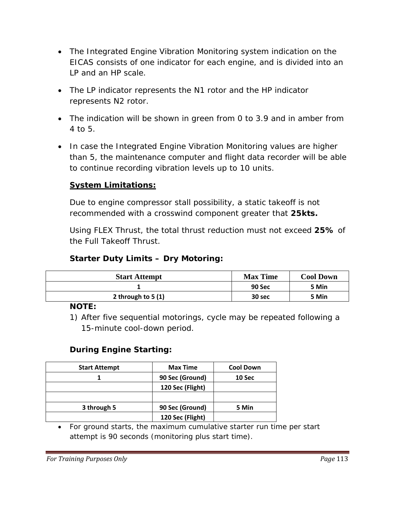- The Integrated Engine Vibration Monitoring system indication on the EICAS consists of one indicator for each engine, and is divided into an LP and an HP scale.
- The LP indicator represents the N1 rotor and the HP indicator represents N2 rotor.
- The indication will be shown in green from 0 to 3.9 and in amber from 4 to 5.
- In case the Integrated Engine Vibration Monitoring values are higher to continue recording vibration levels up to 10 units. than 5, the maintenance computer and flight data recorder will be able

## **System Limitations:**

Due to engine compressor stall possibility, a static takeoff is not recommended with a crosswind component greater that 25kts.

Using FLEX Thrust, the total thrust reduction must not exceed 25% of the Full Takeoff Thrust.

#### **Starter Duty Limits - Dry Motoring:**

| <b>Start Attempt</b> | <b>Max Time</b> | <b>Cool Down</b> |
|----------------------|-----------------|------------------|
|                      | <b>90 Sec</b>   | 5 Min            |
| 2 through to $5(1)$  | 30 sec          | 5 Min            |

#### **NOTE:**

1) After five sequential motorings, cycle may be repeated following a 15-minute cool-down period.

#### **During Engine Starting:**

| <b>Start Attempt</b> | <b>Max Time</b>  | <b>Cool Down</b> |
|----------------------|------------------|------------------|
|                      | 90 Sec (Ground)  | 10 Sec           |
|                      | 120 Sec (Flight) |                  |
|                      |                  |                  |
| 3 through 5          | 90 Sec (Ground)  | 5 Min            |
|                      | 120 Sec (Flight) |                  |

• For ground starts, the maximum cumulative starter run time per start attempt is 90 seconds (monitoring plus start time).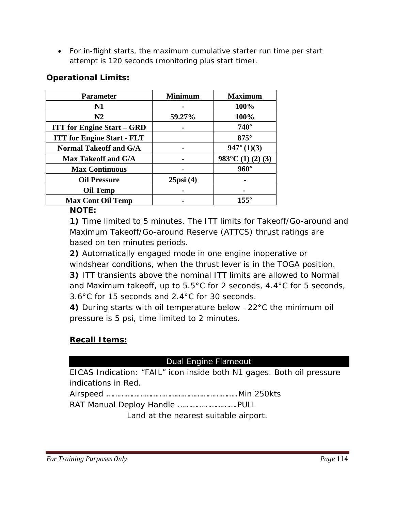• For in-flight starts, the maximum cumulative starter run time per start attempt is 120 seconds (monitoring plus start time).

### **Opera tional Limits:**

| <b>Parameter</b>                  | <b>Minimum</b> | <b>Maximum</b>              |
|-----------------------------------|----------------|-----------------------------|
| N1                                |                | 100%                        |
| N2                                | 59.27%         | 100%                        |
| <b>ITT for Engine Start - GRD</b> |                | $740^\circ$                 |
| <b>ITT for Engine Start - FLT</b> |                | $875^\circ$                 |
| <b>Normal Takeoff and G/A</b>     |                | $947^{\circ}$ (1)(3)        |
| <b>Max Takeoff and G/A</b>        |                | $983^{\circ}$ C (1) (2) (3) |
| <b>Max Continuous</b>             |                | $960^\circ$                 |
| <b>Oil Pressure</b>               | $25$ psi $(4)$ |                             |
| <b>Oil Temp</b>                   |                |                             |
| <b>Max Cont Oil Temp</b>          |                | 155°                        |

#### **NOTE:**

**1)** Time limited to 5 minutes. The ITT limits for Takeoff/Go-around and Maximum Takeoff/Go-around Reserve (ATTCS) thrust ratings are based on ten minutes periods.

**)** Automatically engaged mode in one engine inoperative or **2** windshear conditions, when the thrust lever is in the TOGA position. and Maximum takeoff, up to  $5.5^{\circ}$ C for 2 seconds, 4.4 $^{\circ}$ C for 5 seconds, **3)** ITT transients above the nominal ITT limits are allowed to Normal 3.6°C for 15 seconds and 2.4°C for 30 seconds.

4) During starts with oil temperature below  $-22^{\circ}$ C the minimum oil pressure is 5 p si, time limited to 2 minutes.

#### **Recall Items:**

#### Dual Engine Flameout

EICAS Indication: "FAIL" icon inside both N1 gages. Both oil pressure indications in Red.

irspeed ……………………………………………………..Min 250kts A

RAT Manual D eploy Handle ……………………….PULL

Land at the nearest suitable airport.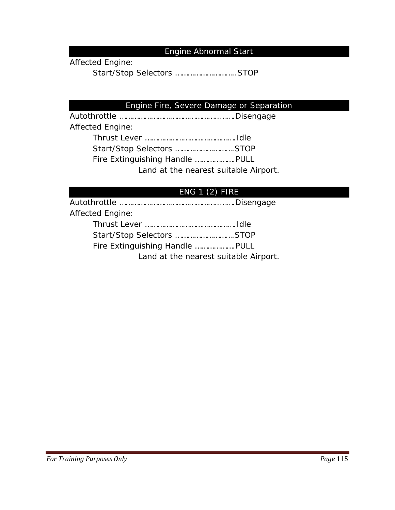#### Engine Abnormal Start

Affected Engine:

Start/Stop Selectors ………………………..STOP

#### Engine Fire, Severe Damage or Separation

Autothrottle ………………………………………..…….Disengage Fire Extingu ishing Handle ……………….PULL Land at the nearest suitable Airport. Affected Engine: Thrust Lever …………………………………….Idle Start/Stop Selectors ……………………….STOP

#### ENG 1 (2) FIRE

utothrottle ………………………………………..…….Disengage AAffected Engine: Thrust Lever …………………………………….Idle Start/Stop Selectors ……………………….STOP Fire Extinguishing Handle ……………….PULL Land at the nearest suitable Airport.